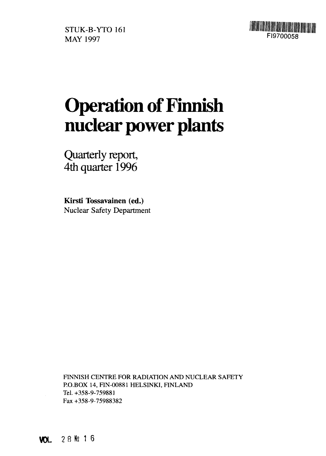



# **Operation of Finnish nuclear power plants**

Quarterly report, 4th quarter 1996

**Kirsti Tossavainen (ed.)** Nuclear Safety Department

FINNISH CENTRE FOR RADIATION AND NUCLEAR SAFETY P.O.BOX 14, FIN-00881 HELSINKI, FINLAND Tel. +358-9-759881 Fax +358-9-75988382

**VOL 2 8 Ne 1 6**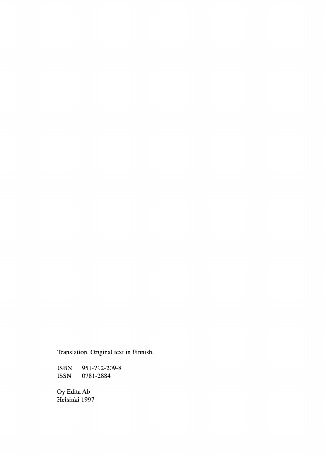Translation. Original text in Finnish.

ISBN 951-712-209-8<br>ISSN 0781-2884 0781-2884

Oy Edita Ab Helsinki 1997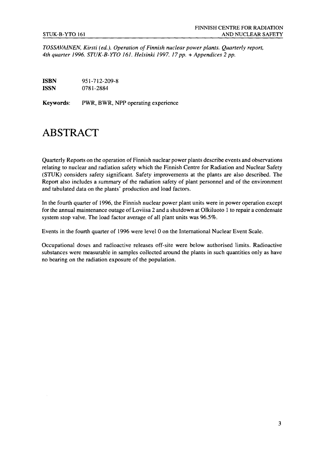*TOSSAVAINEN, Kirsti (ed.). Operation of Finnish nuclear power plants. Quarterly report, 4th quarter 1996. STUK-B-YTO 161. Helsinki 1997. 17pp. + Appendices 2 pp.*

| ISBN | 951-712-209-8 |
|------|---------------|
| ISSN | 0781-2884     |

**Keywords: PWR,** BWR, NPP operating experience

### ABSTRACT

Quarterly Reports on the operation of Finnish nuclear power plants describe events and observations relating to nuclear and radiation safety which the Finnish Centre for Radiation and Nuclear Safety (STUK) considers safety significant. Safety improvements at the plants are also described. The Report also includes a summary of the radiation safety of plant personnel and of the environment and tabulated data on the plants' production and load factors.

In the fourth quarter of 1996, the Finnish nuclear power plant units were in power operation except for the annual maintenance outage of Loviisa 2 and a shutdown at Olkiluoto 1 to repair a condensate system stop valve. The load factor average of all plant units was 96.5%.

Events in the fourth quarter of 1996 were level 0 on the International Nuclear Event Scale.

Occupational doses and radioactive releases off-site were below authorised limits. Radioactive substances were measurable in samples collected around the plants in such quantities only as have no bearing on the radiation exposure of the population.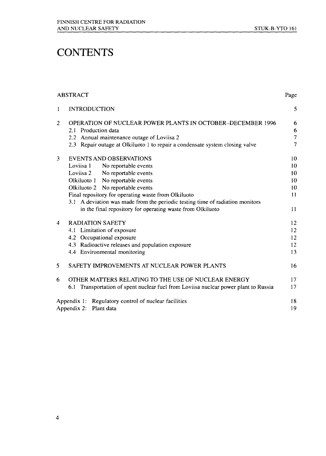## **CONTENTS**

| <b>ABSTRACT</b>                                                                     | Page           |
|-------------------------------------------------------------------------------------|----------------|
| <b>INTRODUCTION</b><br>1                                                            | 5              |
| <b>OPERATION OF NUCLEAR POWER PLANTS IN OCTOBER-DECEMBER 1996</b><br>2              | 6              |
| 2.1 Production data                                                                 | 6              |
| 2.2 Annual maintenance outage of Loviisa 2                                          | $\overline{7}$ |
| 2.3 Repair outage at Olkiluoto 1 to repair a condensate system closing valve        | $\overline{7}$ |
| <b>EVENTS AND OBSERVATIONS</b><br>$\mathbf{3}$                                      | 10             |
| Loviisa 1 No reportable events                                                      | 10             |
| Loviisa 2 No reportable events                                                      | 10             |
| Olkiluoto 1 No reportable events                                                    | 10             |
| Olkiluoto 2 No reportable events                                                    | 10             |
| Final repository for operating waste from Olkiluoto                                 | 11             |
| 3.1 A deviation was made from the periodic testing time of radiation monitors       |                |
| in the final repository for operating waste from Olkiluoto                          | 11             |
| <b>RADIATION SAFETY</b><br>$\overline{4}$                                           | 12             |
| 4.1 Limitation of exposure                                                          | 12             |
| 4.2 Occupational exposure                                                           | 12             |
| 4.3 Radioactive releases and population exposure                                    | 12             |
| 4.4 Environmental monitoring                                                        | 13             |
| SAFETY IMPROVEMENTS AT NUCLEAR POWER PLANTS<br>5                                    | 16             |
| OTHER MATTERS RELATING TO THE USE OF NUCLEAR ENERGY<br>6                            | 17             |
| 6.1 Transportation of spent nuclear fuel from Loviisa nuclear power plant to Russia | 17             |
| Appendix 1: Regulatory control of nuclear facilities                                | 18             |
| Appendix 2: Plant data                                                              | 19             |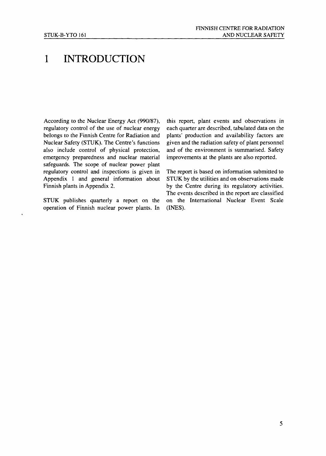### 1 INTRODUCTION

According to the Nuclear Energy Act (990/87), regulatory control of the use of nuclear energy belongs to the Finnish Centre for Radiation and Nuclear Safety (STUK). The Centre's functions also include control of physical protection, emergency preparedness and nuclear material safeguards. The scope of nuclear power plant regulatory control and inspections is given in Appendix 1 and general information about Finnish plants in Appendix 2.

STUK publishes quarterly a report on the operation of Finnish nuclear power plants. In this report, plant events and observations in each quarter are described, tabulated data on the plants' production and availability factors are given and the radiation safety of plant personnel and of the environment is summarised. Safety improvements at the plants are also reported.

The report is based on information submitted to STUK by the utilities and on observations made by the Centre during its regulatory activities. The events described in the report are classified on the International Nuclear Event Scale (INES).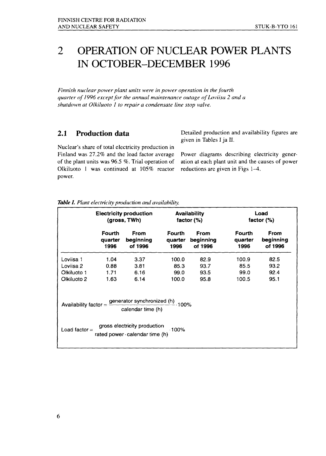### 2 OPERATION OF NUCLEAR POWER PLANTS IN OCTOBER-DECEMBER 1996

*Finnish nuclear power plant units were in power operation in the fourth quarter of 1996 except for the annual maintenance outage of Loviisa 2 and a shutdown at Olkiluoto I to repair a condensate line stop valve.*

#### 2.1 Production data

Nuclear's share of total electricity production in Finland was 27.2% and the load factor average of the plant units was 96.5 %. Trial operation of Olkiluoto 1 was continued at 105% reactor power.

Detailed production and availability figures are given in Tables I ja II.

Power diagrams describing electricity generation at each plant unit and the causes of power reductions are given in Figs 1-4.

|  |  |  | <b>Table I.</b> Plant electricity production and availability. |
|--|--|--|----------------------------------------------------------------|
|  |  |  |                                                                |

|                                                                                                      | <b>Electricity production</b><br>(gross, TWh) |           |               | Availability<br>factor $(\%)$ |         | Load<br>factor $(\%)$ |  |
|------------------------------------------------------------------------------------------------------|-----------------------------------------------|-----------|---------------|-------------------------------|---------|-----------------------|--|
|                                                                                                      | Fourth                                        | From      | <b>Fourth</b> | From                          | Fourth  | From                  |  |
|                                                                                                      | quarter                                       | beginning | quarter       | beginning                     | quarter | beginning             |  |
|                                                                                                      | 1996                                          | of 1996   | 1996          | of 1996                       | 1996    | of 1996               |  |
| Loviisa 1                                                                                            | 1.04                                          | 3.37      | 100.0         | 82.9                          | 100.9   | 82.5                  |  |
| Loviisa 2                                                                                            | 0.88                                          | 3.81      | 85.3          | 93.7                          | 85.5    | 93.2                  |  |
| Olkiluoto 1                                                                                          | 1.71                                          | 6.16      | 99.0          | 93.5                          | 99.0    | 92.4                  |  |
| Olkiluoto 2                                                                                          | 1.63                                          | 6.14      | 100.0         | 95.8                          | 100.5   | 95.1                  |  |
| Availability factor = $\frac{1}{2}$ generator synchronized (h) 100%<br>calendar time (h)             |                                               |           |               |                               |         |                       |  |
| gross electricity production<br>Load factor $=$<br>$-100\%$<br>rated power $\cdot$ calendar time (h) |                                               |           |               |                               |         |                       |  |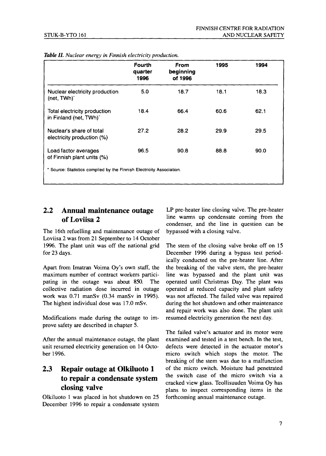|                                                                     | <b>Fourth</b><br>quarter<br>1996 | <b>From</b><br>beginning<br>of 1996 | 1995 | 1994 |
|---------------------------------------------------------------------|----------------------------------|-------------------------------------|------|------|
| Nuclear electricity production<br>(net, TWh) <sup>-</sup>           | 5.0                              | 18.7                                | 18.1 | 18.3 |
| Total electricity production<br>in Finland (net, TWh)'              | 18.4                             | 66.4                                | 60.6 | 62.1 |
| Nuclear's share of total<br>electricity production (%)              | 27.2                             | 28.2                                | 29.9 | 29.5 |
| Load factor averages<br>of Finnish plant units (%)                  | 96.5                             | 90.8                                | 88.8 | 90.0 |
| Source: Statistics compiled by the Finnish Electricity Association. |                                  |                                     |      |      |

Table II. Nuclear energy in Finnish electricity production.

#### 2.2 Annual maintenance outage of Loviisa 2

The 16th refuelling and maintenance outage of Loviisa 2 was from 21 September to 14 October 1996. The plant unit was off the national grid for 23 days.

Apart from Imatran Voima Oy's own staff, the maximum number of contract workers participating in the outage was about 850. The collective radiation dose incurred in outage work was 0.71 manSv (0.34 manSv in 1995). The highest individual dose was 17.0 mSv.

Modifications made during the outage to improve safety are described in chapter 5.

After the annual maintenance outage, the plant unit resumed electricity generation on 14 October 1996.

### 2.3 Repair outage at Olkiluoto 1 to repair a condensate system closing valve

Olkiluoto 1 was placed in hot shutdown on 25 December 1996 to repair a condensate system LP pre-heater line closing valve. The pre-heater line warms up condensate coming from the condenser, and the line in question can be bypassed with a closing valve.

The stem of the closing valve broke off on 15 December 1996 during a bypass test periodically conducted on the pre-heater line. After the breaking of the valve stem, the pre-heater line was bypassed and the plant unit was operated until Christmas Day. The plant was operated at reduced capacity and plant safety was not affected. The failed valve was repaired during the hot shutdown and other maintenance and repair work was also done. The plant unit resumed electricity generation the next day.

The failed valve's actuator and its motor were examined and tested in a test bench. In the test, defects were detected in the actuator motor's micro switch which stops the motor. The breaking of the stem was due to a malfunction of the micro switch. Moisture had penetrated the switch case of the micro switch via a cracked view glass. Teollisuuden Voima Oy has plans to inspect corresponding items in the forthcoming annual maintenance outage.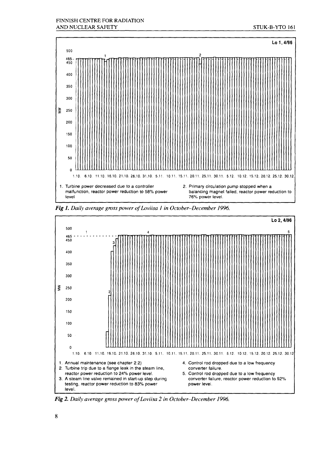

500  $1$  4 **4 6 5 : : ::••. : •::••:: • : : . . - . : -** 450 f ; 400 350 300  $\geq$  250 2 200 150 100  $\begin{bmatrix} 1 \\ 0 \end{bmatrix}$ 1.10, 6,10, 11.10.16.10.21.10.26,10.31.10, 5.11. 10.11.15.11.20.11. 25.11. 30.11, 5.12. 10.12. 15.12. 20,12. 25.12. 30.12 **Lo 2, 4/96** 5 1. Annual maintenance (see chapter 2.2) 4. Control rod dropped due to a low frequency 2. Turbine trip due to a flange leak in the steam line, converter failure, reactor power reduction to 24% power level. 5. Control rod dropped due to a low frequency 3. A steam line valve remained in start-up step during converter failure, reactor power reduction to 92% testing, reactor power reduction to 83% power **power level**, level.

*Fig 1. Daily average gmss power of Loviisa 1 in October-December 1996.*

*Fig 2. Daily average gmss power of Loviisa 2 in October-December 1996.*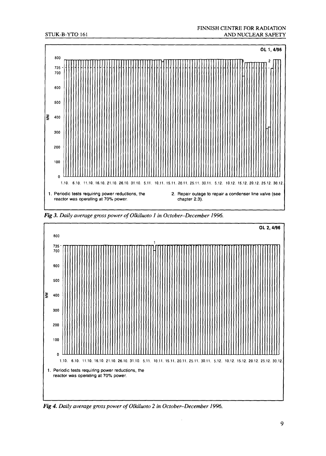



Fig 3. Daily average gross power of Olkiluoto 1 in October-December 1996.

Fig 4. Daily average gross power of Olkiluoto 2 in October-December 1996.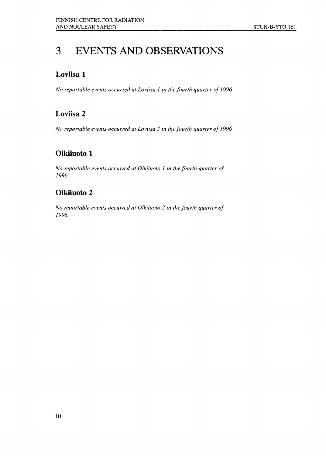### 3 EVENTS AND OBSERVATIONS

#### Loviisa 1

*No reportable events occurred at Loviisa 1 in the fourth quarter of 1996*

#### Loviisa 2

*No reportable events occurred at Loviisa 2 in the fourth quarter of 1996*

#### Olkiluoto 1

*No reportable events occurred at Olkiluoto 1 in the fourth quarter of 1996.*

### Olkiluoto 2

*No reportable events occurred at Olkiluoto 2 in the fourth quarter of 1996.*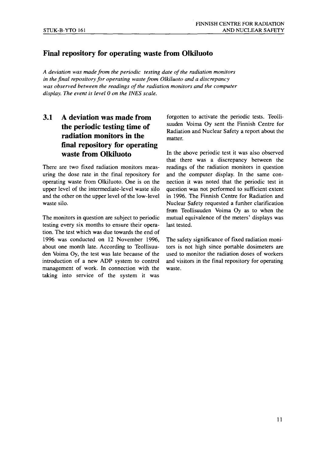#### Final repository for operating waste from Olkiluoto

*A deviation was made from the periodic testing date of the radiation monitors in the final repository for operating waste from Olkiluoto and a discrepancy was observed between the readings of the radiation monitors and the computer display. The event is level 0 on the INES scale.*

#### 3.1 A deviation was made from the periodic testing time of radiation monitors in the final repository for operating waste from Olkiluoto

There are two fixed radiation monitors measuring the dose rate in the final repository for operating waste from Olkiluoto. One is on the upper level of the intermediate-level waste silo and the other on the upper level of the low-level waste silo.

The monitors in question are subject to periodic testing every six months to ensure their operation. The test which was due towards the end of 1996 was conducted on 12 November 1996, about one month late. According to Teollisuuden Voima Oy, the test was late because of the introduction of a new ADP system to control management of work. In connection with the taking into service of the system it was

forgotten to activate the periodic tests. Teollisuuden Voima Oy sent the Finnish Centre for Radiation and Nuclear Safety a report about the matter.

In the above periodic test it was also observed that there was a discrepancy between the readings of the radiation monitors in question and the computer display. In the same connection it was noted that the periodic test in question was not performed to sufficient extent in 1996. The Finnish Centre for Radiation and Nuclear Safety requested a further clarification from Teollisuuden Voima Oy as to when the mutual equivalence of the meters' displays was last tested.

The safety significance of fixed radiation monitors is not high since portable dosimeters are used to monitor the radiation doses of workers and visitors in the final repository for operating waste.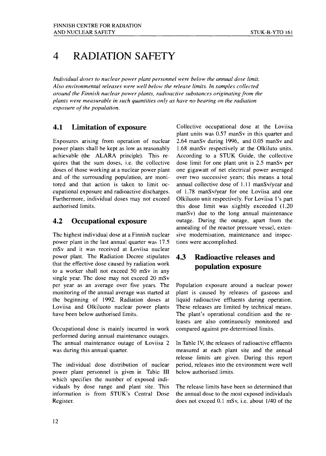### 4 RADIATION SAFETY

*Individual doses to nuclear power plant personnel were below the annual dose limit. Also environmental releases were well below the release limits. In samples collected around the Finnish nuclear power plants, radioactive substances originating from the plants were measurable in such quantities only as have no bearing on the radiation exposure of the population.*

#### 4.1 Limitation of exposure

Exposures arising from operation of nuclear power plants shall be kept as low as reasonably achievable (the ALARA principle). This requires that the sum doses, i.e. the collective doses of those working at a nuclear power plant and of the surrounding population, are monitored and that action is taken to limit occupational exposure and radioactive discharges. Furthermore, individual doses may not exceed authorised limits.

#### 4.2 Occupational exposure

The highest individual dose at a Finnish nuclear power plant in the last annual quarter was 17.5 mSv and it was received at Loviisa nuclear power plant. The Radiation Decree stipulates that the effective dose caused by radiation work to a worker shall not exceed 50 mSv in any single year. The dose may not exceed 20 mSv per year as an average over five years. The monitoring of the annual average was started at the beginning of 1992. Radiation doses at Loviisa and Olkiluoto nuclear power plants have been below authorised limits.

Occupational dose is mainly incurred in work performed during annual maintenance outages. The annual maintenance outage of Loviisa 2 was during this annual quarter.

The individual dose distribution of nuclear power plant personnel is given in Table III which specifies the number of exposed individuals by dose range and plant site. This information is from STUK's Central Dose Register.

Collective occupational dose at the Loviisa plant units was 0.57 manSv in this quarter and 2.64 manSv during 1996, and 0.05 manSv and 1.68 manSv respectively at the Olkiluto units. According to a STUK Guide, the collective dose limit for one plant unit is 2.5 manSv per one gigawatt of net electrical power averaged over two successive years; this means a total annual collective dose of 1.11 manSv/year and of 1.78 manSv/year for one Loviisa and one Olkiluoto unit respectively. For Loviisa l's part this dose limit was slightly exceeded (1.20 manSv) due to the long annual maintenance outage. During the outage, apart from the annealing of the reactor pressure vessel, extensive modernisation, maintenance and inspections were accomplished.

#### 4.3 Radioactive releases and population exposure

Population exposure around a nuclear power plant is caused by releases of gaseous and liquid radioactive effluents during operation. These releases are limited by technical means. The plant's operational condition and the releases are also continuously monitored and compared against pre-determined limits.

In Table IV, the releases of radioactive effluents measured at each plant site and the annual release limits are given. During this report period, releases into the environment were well below authorised limits.

The release limits have been so determined that the annual dose to the most exposed individuals does not exceed 0.1 mSv, i.e. about 1/40 of the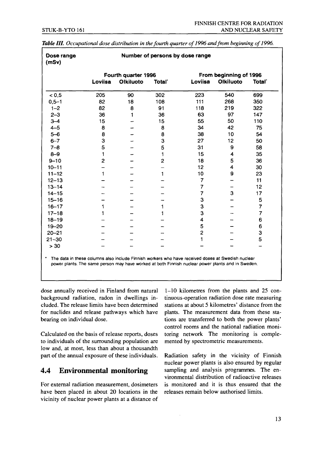| Dose range<br>(mSv) |                     |                  |                    | Number of persons by dose range |                  |                |
|---------------------|---------------------|------------------|--------------------|---------------------------------|------------------|----------------|
|                     | Fourth quarter 1996 |                  |                    | From beginning of 1996          |                  |                |
|                     | Loviisa             | <b>Olkiluoto</b> | Total <sup>*</sup> | Loviisa                         | <b>Olkiluoto</b> | <b>Total</b>   |
| < 0, 5              | 205                 | 90               | 302                | 223                             | 540              | 699            |
| $0,5 - 1$           | 82                  | 18               | 108                | 111                             | 268              | 350            |
| $1 - 2$             | 82                  | 8                | 91                 | 118                             | 219              | 322            |
| $2 - 3$             | 36                  | 1                | 36                 | 63                              | 97               | 147            |
| $3 - 4$             | 15                  |                  | 15                 | 55                              | 50               | 110            |
| $4 - 5$             | 8                   |                  | 8                  | 34                              | 42               | 75             |
| $5 - 6$             | 8                   |                  | 8                  | 38                              | 10               | 54             |
| $6 - 7$             | 3                   |                  | 3                  | 27                              | 12               | 50             |
| $7 - 8$             | 5                   |                  | 5                  | 31                              | 9                | 58             |
| $8 - 9$             | 1                   |                  | 1                  | 15                              | 4                | 35             |
| $9 - 10$            | $\overline{c}$      |                  | 2                  | 18                              | 5                | 36             |
| $10 - 11$           |                     |                  |                    | 12                              | 4                | 30             |
| $11 - 12$           | 1                   |                  | 1                  | 10                              | 9                | 23             |
| $12 - 13$           |                     |                  |                    | 7                               |                  | 11             |
| $13 - 14$           |                     |                  |                    | 7                               |                  | 12             |
| $14 - 15$           |                     |                  |                    | 7                               | 3                | 17             |
| $15 - 16$           |                     |                  |                    | 3                               |                  | 5              |
| $16 - 17$           | 1                   |                  | 1                  | 3                               |                  | 7              |
| $17 - 18$           | 1                   |                  | 1                  | 3                               |                  | $\overline{7}$ |
| $18 - 19$           |                     |                  |                    | 4                               |                  | 6              |
| $19 - 20$           |                     |                  |                    | 5                               |                  | 6              |
| $20 - 21$           |                     |                  |                    | $\overline{c}$                  |                  | 3              |
| $21 - 30$           |                     |                  |                    | 1                               |                  | 5              |
| > 30                |                     |                  |                    |                                 |                  |                |

*Table III. Occupational dose distribution in the fourth quarter of 1996 and from beginning of 1996.*

\* The data in these columns also include Finnish workers who have received doses at Swedish nuclear power plants. The same person may have worked at both Finnish nuclear power plants and in Sweden.

dose annually received in Finland from natural background radiation, radon in dwellings included. The release limits have been determined for nuclides and release pathways which have bearing on individual dose.

Calculated on the basis of release reports, doses to individuals of the surrounding population are low and, at most, less than about a thousandth part of the annual exposure of these individuals.

#### 4.4 Environmental monitoring

For external radiation measurement, dosimeters have been placed in about 20 locations in the vicinity of nuclear power plants at a distance of 1-10 kilometres from the plants and 25 continuous-operation radiation dose rate measuring stations at about 5 kilometres' distance from the plants. The measurement data from these stations are transferred to both the power plants' control rooms and the national radiation monitoring network The monitoring is complemented by spectrometric measurements.

Radiation safety in the vicinity of Finnish nuclear power plants is also ensured by regular sampling and analysis programmes. The environmental distribution of radioactive releases is monitored and it is thus ensured that the releases remain below authorised limits.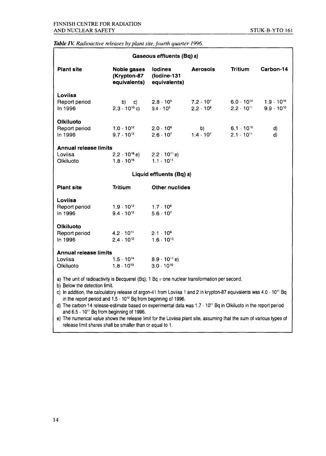#### **Table IV.** Radioactive releases by plant site, fourth quarter 1996.

| Gaseous effluents (Bq) a)                                                                                                                                                                                                                                                                                                                       |                                               |                                              |                                          |                                            |                                            |
|-------------------------------------------------------------------------------------------------------------------------------------------------------------------------------------------------------------------------------------------------------------------------------------------------------------------------------------------------|-----------------------------------------------|----------------------------------------------|------------------------------------------|--------------------------------------------|--------------------------------------------|
| <b>Plant site</b>                                                                                                                                                                                                                                                                                                                               | Noble gases<br>(Krypton-87<br>equivalents)    | lodines<br>(lodine-131<br>equivalents)       | <b>Aerosols</b>                          | <b>Tritium</b>                             | Carbon-14                                  |
| Loviisa<br>Report period<br>In 1996                                                                                                                                                                                                                                                                                                             | b) c)<br>$2.3 \cdot 10^{10}$ c)               | $2.8 \cdot 10^{5}$<br>$9.4 \cdot 10^{5}$     | $7.2 \cdot 10^{7}$<br>$2.2 \cdot 10^{8}$ | $6.0 \cdot 10^{10}$<br>$2.2 \cdot 10^{11}$ | $1.9 \cdot 10^{10}$<br>$9.9 \cdot 10^{10}$ |
| Olkiluoto<br>Report period<br>In 1996                                                                                                                                                                                                                                                                                                           | $1.0 \cdot 10^{12}$<br>$9.7 \cdot 10^{12}$    | $2.0 \cdot 10^6$<br>$2.6 \cdot 10^{7}$       | b)<br>$1.4 \cdot 10^{7}$                 | $6.1 \cdot 10^{10}$<br>$2.1 \cdot 10^{11}$ | d)<br>d)                                   |
| <b>Annual release limits</b>                                                                                                                                                                                                                                                                                                                    |                                               |                                              |                                          |                                            |                                            |
| Loviisa<br>Olkiluoto                                                                                                                                                                                                                                                                                                                            | $2.2 \cdot 10^{16}$ e)<br>$1.8 \cdot 10^{16}$ | $2.2 \cdot 10^{11} e$<br>$1.1 \cdot 10^{11}$ |                                          |                                            |                                            |
|                                                                                                                                                                                                                                                                                                                                                 |                                               | Liquid effluents (Bq) a)                     |                                          |                                            |                                            |
| <b>Plant site</b>                                                                                                                                                                                                                                                                                                                               | <b>Tritium</b>                                | <b>Other nuclides</b>                        |                                          |                                            |                                            |
| Loviisa                                                                                                                                                                                                                                                                                                                                         |                                               |                                              |                                          |                                            |                                            |
| Report period                                                                                                                                                                                                                                                                                                                                   | $1.9 \cdot 10^{12}$                           | $1.7 \cdot 10^{6}$                           |                                          |                                            |                                            |
| In 1996                                                                                                                                                                                                                                                                                                                                         | $9.4 \cdot 10^{12}$                           | $5.6 \cdot 10^{7}$                           |                                          |                                            |                                            |
| Olkiluoto                                                                                                                                                                                                                                                                                                                                       |                                               |                                              |                                          |                                            |                                            |
| Report period                                                                                                                                                                                                                                                                                                                                   | $4.2 \cdot 10^{11}$                           | $2.1 \cdot 10^9$                             |                                          |                                            |                                            |
| In 1996                                                                                                                                                                                                                                                                                                                                         | $2.4 \cdot 10^{12}$                           | $1.6 \cdot 10^{10}$                          |                                          |                                            |                                            |
| <b>Annual release limits</b>                                                                                                                                                                                                                                                                                                                    |                                               |                                              |                                          |                                            |                                            |
| Loviisa                                                                                                                                                                                                                                                                                                                                         | $1.5 \cdot 10^{14}$                           | $8.9 \cdot 10^{11}$ e)                       |                                          |                                            |                                            |
| Olkiluoto                                                                                                                                                                                                                                                                                                                                       | $1.8 \cdot 10^{13}$                           | $3.0 \cdot 10^{10}$                          |                                          |                                            |                                            |
| a) The unit of radioactivity is Becquerel (Bq); $1 Bq =$ one nuclear transformation per second.<br>b) Below the detection limit.<br>c) In addition, the calculatory release of argon-41 from Loviisa 1 and 2 in krypton-87 equivalents was 4.0 · 10 <sup>11</sup> Bq<br>in the report period and $1.5 \cdot 10^{12}$ Bq from beginning of 1996. |                                               |                                              |                                          |                                            |                                            |

d) The carbon-14 release-estimate based on experimental data was 1.7 • 10" Bq in Olkiluoto in the report period and 6.5 • 10" Bq from beginning of 1996.

e) The numerical value shows the release limit for the Loviisa plant site, assuming that the sum of various types of release limit shares shall be smaller than or equal to 1.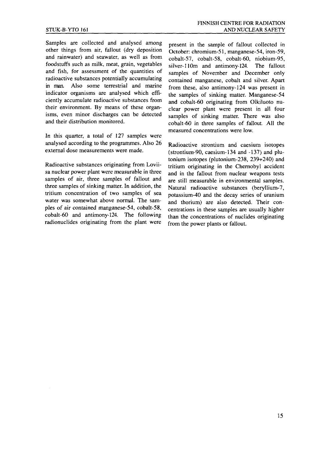Samples are collected and analysed among other things from air, fallout (dry deposition and rainwater) and seawater, as well as from foodstuffs such as milk, meat, grain, vegetables and fish, for assessment of the quantities of radioactive substances potentially accumulating in man. Also some terrestrial and marine indicator organisms are analysed which efficiently accumulate radioactive substances from their environment. By means of these organisms, even minor discharges can be detected and their distribution monitored.

In this quarter, a total of 127 samples were analysed according to the programmes. Also 26 external dose measurements were made.

Radioactive substances originating from Loviisa nuclear power plant were measurable in three samples of air, three samples of fallout and three samples of sinking matter. In addition, the tritium concentration of two samples of sea water was somewhat above normal. The samples of air contained manganese-54, cobalt-58, cobalt-60 and antimony-124. The following radionuclides originating from the plant were present in the sample of fallout collected in October: chromium-51, manganese-54, iron-59, cobalt-57, cobalt-58, cobalt-60, niobium-95, silver-110m and antimony-124. The fallout samples of November and December only contained manganese, cobalt and silver. Apart from these, also antimony-124 was present in the samples of sinking matter. Manganese-54 and cobalt-60 originating from Olkiluoto nuclear power plant were present in all four samples of sinking matter. There was also cobalt-60 in three samples of fallout. All the measured concentrations were low.

Radioactive strontium and caesium isotopes (strontium-90, caesium-134 and -137) and plutonium isotopes (plutonium-238, 239+240) and tritium originating in the Chernobyl accident and in the fallout from nuclear weapons tests are still measurable in environmental samples. Natural radioactive substances (beryllium-7, potassium-40 and the decay series of uranium and thorium) are also detected. Their concentrations in these samples are usually higher than the concentrations of nuclides originating from the power plants or fallout.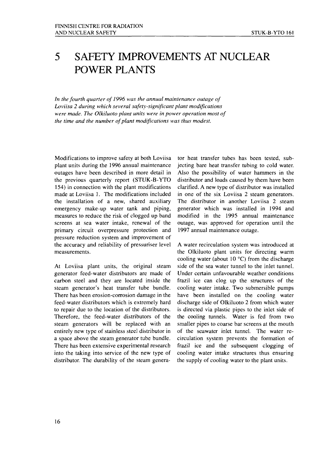### 5 SAFETY IMPROVEMENTS AT NUCLEAR POWER PLANTS

*In the fourth quarter of 1996 was the annual maintenance outage of Loviisa 2 during which several safety-significant plant modifications were made. The Olkiluoto plant units were in power operation most of the time and the number of plant modifications was thus modest.*

Modifications to improve safety at both Loviisa plant units during the 1996 annual maintenance outages have been described in more detail in the previous quarterly report (STUK-B-YTO 154) in connection with the plant modifications made at Loviisa 1. The modifications included the installation of a new, shared auxiliary emergency make-up water tank and piping, measures to reduce the risk of clogged up band screens at sea water intake, renewal of the primary circuit overpressure protection and pressure reduction system and improvement of the accuracy and reliability of pressuriser level measurements.

At Loviisa plant units, the original steam generator feed-water distributors are made of carbon steel and they are located inside the steam generator's heat transfer tube bundle. There has been erosion-corrosion damage in the feed-water distributors which is extremely hard to repair due to the location of the distributors. Therefore, the feed-water distributors of the steam generators will be replaced with an entirely new type of stainless steel distributor in a space above the steam generator tube bundle. There has been extensive experimental research into the taking into service of the new type of distributor. The durability of the steam generator heat transfer tubes has been tested, subjecting bare heat transfer tubing to cold water. Also the possibility of water hammers in the distributor and loads caused by them have been clarified. A new type of distributor was installed in one of the six Loviisa 2 steam generators. The distributor in another Loviisa 2 steam generator which was installed in 1994 and modified in the 1995 annual maintenance outage, was approved for operation until the 1997 annual maintenance outage.

A water recirculation system was introduced at the Olkiluoto plant units for directing warm cooling water (about  $10^{\circ}$ C) from the discharge side of the sea water tunnel to the inlet tunnel. Under certain unfavourable weather conditions frazil ice can clog up the structures of the cooling water intake. Two submersible pumps have been installed on the cooling water discharge side of Olkiluoto 2 from which water is directed via plastic pipes to the inlet side of the cooling tunnels. Water is fed from two smaller pipes to coarse bar screens at the mouth of the seawater inlet tunnel. The water recirculation system prevents the formation of frazil ice and the subsequent clogging of cooling water intake structures thus ensuring the supply of cooling water to the plant units.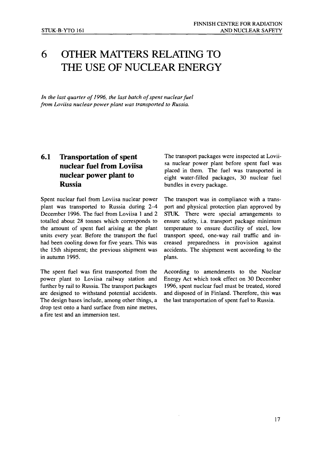#### OTHER MATTERS RELATING TO 6 THE USE OF NUCLEAR ENERGY

*In the last quarter of 1996, the last batch of spent nuclear fuel from Loviisa nuclear power plant was transported to Russia.*

#### **6.1 Transportation of spent nuclear fuel from Loviisa nuclear power plant to Russia**

Spent nuclear fuel from Loviisa nuclear power plant was transported to Russia during 2-4 December 1996. The fuel from Loviisa 1 and 2 totalled about 28 tonnes which corresponds to the amount of spent fuel arising at the plant units every year. Before the transport the fuel had been cooling down for five years. This was the 15th shipment; the previous shipment was in autumn 1995.

The spent fuel was first transported from the power plant to Loviisa railway station and further by rail to Russia. The transport packages are designed to withstand potential accidents. The design bases include, among other things, a drop test onto a hard surface from nine metres, a fire test and an immersion test.

The transport packages were inspected at Loviisa nuclear power plant before spent fuel was placed in them. The fuel was transported in eight water-filled packages, 30 nuclear fuel bundles in every package.

The transport was in compliance with a transport and physical protection plan approved by STUK There were special arrangements to ensure safety, i.a. transport package minimum temperature to ensure ductility of steel, low transport speed, one-way rail traffic and increased preparedness in provision against accidents. The shipment went according to the plans.

According to amendments to the Nuclear Energy Act which took effect on 30 December 1996, spent nuclear fuel must be treated, stored and disposed of in Finland. Therefore, this was the last transportation of spent fuel to Russia.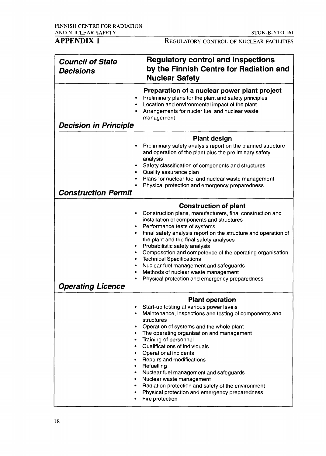AND NUCLEAR SAFETY<br>
APPENDIX 1 REGULATORY CONTROL OF NUCLEAR FACILITIES REGULATORY CONTROL OF NUCLEAR FACILITIES

| <b>Council of State</b><br><b>Decisions</b>                                                                      | <b>Regulatory control and inspections</b><br>by the Finnish Centre for Radiation and<br><b>Nuclear Safety</b>                                                                                                                                                                                                                                                                                                                                                                                                                                                      |
|------------------------------------------------------------------------------------------------------------------|--------------------------------------------------------------------------------------------------------------------------------------------------------------------------------------------------------------------------------------------------------------------------------------------------------------------------------------------------------------------------------------------------------------------------------------------------------------------------------------------------------------------------------------------------------------------|
| $\bullet$<br><b>Decision in Principle</b>                                                                        | Preparation of a nuclear power plant project<br>Preliminary plans for the plant and safety principles<br>Location and environmental impact of the plant<br>Arrangements for nucler fuel and nuclear waste<br>management                                                                                                                                                                                                                                                                                                                                            |
| ٠<br><b>Construction Permit</b>                                                                                  | <b>Plant design</b><br>Preliminary safety analysis report on the planned structure<br>and operation of the plant plus the preliminary safety<br>analysis<br>Safety classification of components and structures<br>Quality assurance plan<br>Plans for nuclear fuel and nuclear waste management<br>Physical protection and emergency preparedness                                                                                                                                                                                                                  |
| ٠<br>٠<br>٠<br>٠<br>٠<br><b>Operating Licence</b>                                                                | <b>Construction of plant</b><br>Construction plans, manufacturers, final construction and<br>installation of components and structures<br>Performance tests of systems<br>Final safety analysis report on the structure and operation of<br>the plant and the final safety analyses<br>Probabilistic safety analysis<br>Composotion and competence of the operating organisation<br><b>Technical Specifications</b><br>Nuclear fuel management and safeguards<br>Methods of nuclear waste management<br>Physical protection and emergency preparedness             |
| ٠<br>٠<br>$\bullet$<br>$\bullet$<br>٠<br>$\bullet$<br>$\bullet$<br>$\bullet$<br>$\bullet$<br>٠<br>$\bullet$<br>٠ | <b>Plant operation</b><br>Start-up testing at various power levels<br>Maintenance, inspections and testing of components and<br>structures<br>Operation of systems and the whole plant<br>The operating organisation and management<br>Training of personnel<br>Qualifications of individuals<br>Operational incidents<br>Repairs and modifications<br>Refuelling<br>Nuclear fuel management and safeguards<br>Nuclear waste management<br>Radiation protection and safety of the environment<br>Physical protection and emergency preparedness<br>Fire protection |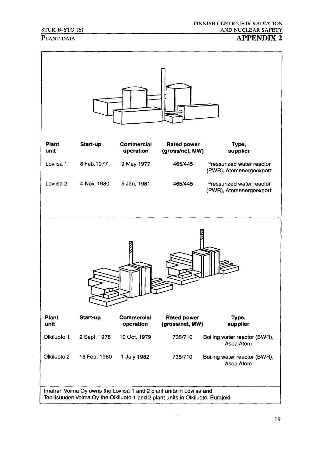#### STUK-B-YTO 161

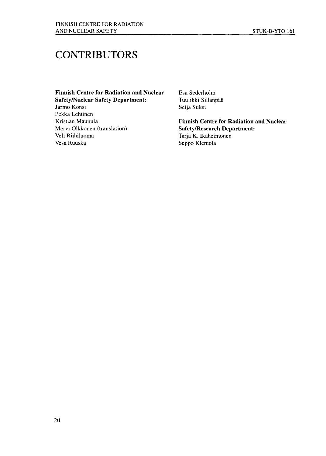### **CONTRIBUTORS**

**Finnish Centre for Radiation and Nuclear** Esa Sederholm **Safety/Nuclear Safety Department:** Jarmo Konsi Seija Suksi Seija Suksi Pekka Lehtinen<br>Kristian Maunula Kristian Maunula<br> **Finnish Centre for Radiation and Nuclear**<br> **Safety/Research Department:**<br> **Safety/Research Department:** Veli Riihiluoma and Tarja K. Ikäheimonen<br>Vesa Ruuska kuni Seppo Klemola

 $Safety/Research Department:$ Seppo Klemola